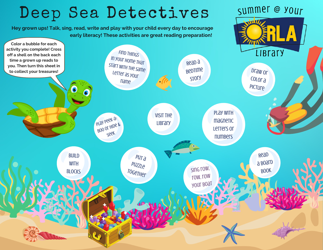## Deep Sea Detectives

**Hey grown ups! Talk, sing, read, write and play with your child every day to encourage early literacy! These activities are great reading preparation!**



summer @ your

 $\sqrt{1/1/2}$